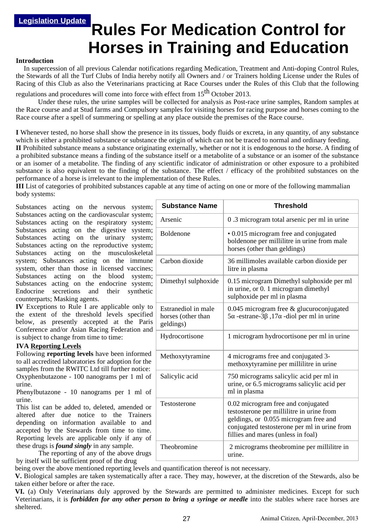# **Rules For Medication Control for Horses in Training and Education**

## **Introduction**

 In supercession of all previous Calendar notifications regarding Medication, Treatment and Anti-doping Control Rules, the Stewards of all the Turf Clubs of India hereby notify all Owners and / or Trainers holding License under the Rules of Racing of this Club as also the Veterinarians practicing at Race Courses under the Rules of this Club that the following

regulations and procedures will come into force with effect from 15<sup>th</sup> October 2013.

Under these rules, the urine samples will be collected for analysis as Post-race urine samples, Random samples at the Race course and at Stud farms and Compulsory samples for visiting horses for racing purpose and horses coming to the Race course after a spell of summering or spelling at any place outside the premises of the Race course.

**I** Whenever tested, no horse shall show the presence in its tissues, body fluids or excreta, in any quantity, of any substance which is either a prohibited substance or substance the origin of which can not be traced to normal and ordinary feeding. **II** Prohibited substance means a substance originating externally, whether or not it is endogenous to the horse. A finding of a prohibited substance means a finding of the substance itself or a metabolite of a substance or an isomer of the substance or an isomer of a metabolite. The finding of any scientific indicator of administration or other exposure to a prohibited substance is also equivalent to the finding of the substance. The effect / efficacy of the prohibited substances on the performance of a horse is irrelevant to the implementation of these Rules.

**III** List of categories of prohibited substances capable at any time of acting on one or more of the following mammalian body systems:

Substances acting on the nervous system; Substances acting on the cardiovascular system; Substances acting on the respiratory system; Substances acting on the digestive system; Substances acting on the urinary system; Substances acting on the reproductive system; Substances acting on the musculoskeletal system; Substances acting on the immune system, other than those in licensed vaccines; Substances acting on the blood system; Substances acting on the endocrine system; Endocrine secretions and their synthetic counterparts; Masking agents.

**IV** Exceptions to Rule I are applicable only to the extent of the threshold levels specified below, as presently accepted at the Paris Conference and/or Asian Racing Federation and is subject to change from time to time:

#### **IVA Reporting Levels**

Following **reporting levels** have been informed to all accredited laboratories for adoption for the samples from the RWITC Ltd till further notice: Oxyphenbutazone - 100 nanograms per 1 ml of urine.

Phenylbutazone - 10 nanograms per 1 ml of urine.

This list can be added to, deleted, amended or altered after due notice to the Trainers depending on information available to and accepted by the Stewards from time to time. Reporting levels are applicable only if any of these drugs is *found singly* in any sample.

The reporting of any of the above drugs by itself will be sufficient proof of the drug

**Substance Name Threshold** Arsenic 0 .3 microgram total arsenic per ml in urine Boldenone • 0.015 microgram free and conjugated boldenone per millilitre in urine from male horses (other than geldings) Carbon dioxide 36 millimoles available carbon dioxide per litre in plasma Dimethyl sulphoxide  $\vert$  0.15 microgram Dimethyl sulphoxide per ml in urine, or 0. 1 microgram dimethyl sulphoxide per ml in plasma Estranediol in male horses (other than geldings) 0.045 microgram free & glucuroconjugated 5α -estrane-3β ,17α -diol per ml in urine Hydrocortisone 1 microgram hydrocortisone per ml in urine Methoxytyramine  $\parallel$  4 micrograms free and conjugated 3methoxytyramine per millilitre in urine Salicylic acid <sup>750</sup> micrograms salicylic acid per ml in urine, or 6.5 micrograms salicylic acid per ml in plasma Testosterone 0.02 microgram free and conjugated testosterone per millilitre in urine from geldings, or 0.055 microgram free and conjugated testosterone per ml in urine from fillies and mares (unless in foal) Theobromine 2 micrograms theobromine per millilitre in urine.

being over the above mentioned reporting levels and quantification thereof is not necessary.

**V.** Biological samples are taken systematically after a race. They may, however, at the discretion of the Stewards, also be taken either before or after the race.

**VI.** (a) Only Veterinarians duly approved by the Stewards are permitted to administer medicines. Except for such Veterinarians, it is *forbidden for any other person to bring a syringe or needle* into the stables where race horses are sheltered.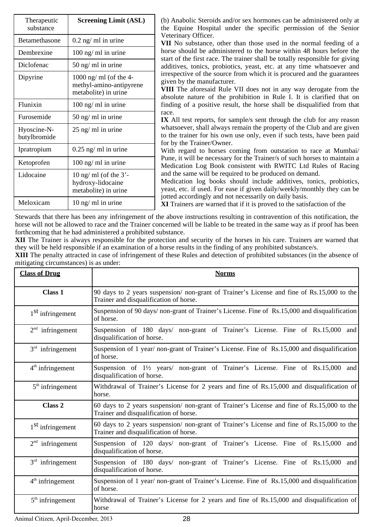| Therapeutic<br>substance    | <b>Screening Limit (ASL)</b>                                              |
|-----------------------------|---------------------------------------------------------------------------|
| <b>Betamethasone</b>        | $0.2$ ng/ ml in urine                                                     |
| Dembrexine                  | 100 ng/ ml in urine                                                       |
| Diclofenac                  | 50 ng/ ml in urine                                                        |
| Dipyrine                    | 1000 ng/ ml (of the 4-<br>methyl-amino-antipyrene<br>metabolite) in urine |
| Flunixin                    | 100 ng/ ml in urine                                                       |
| Furosemide                  | 50 ng/ ml in urine                                                        |
| Hyoscine-N-<br>butylbromide | 25 ng/ ml in urine                                                        |
| Ipratropium                 | $0.25$ ng/ ml in urine                                                    |
| Ketoprofen                  | 100 ng/ ml in urine                                                       |
| Lidocaine                   | 10 ng/ ml (of the $3'$ -<br>hydroxy-lidocaine<br>metabolite) in urine     |
| Meloxicam                   | $10$ ng/ ml in urine                                                      |

(b) Anabolic Steroids and/or sex hormones can be administered only at the Equine Hospital under the specific permission of the Senior Veterinary Officer.

**VII** No substance, other than those used in the normal feeding of a horse should be administered to the horse within 48 hours before the start of the first race. The trainer shall be totally responsible for giving additives, tonics, probiotics, yeast, etc. at any time whatsoever and irrespective of the source from which it is procured and the guarantees given by the manufacturer.

**VIII** The aforesaid Rule VII does not in any way derogate from the absolute nature of the prohibition in Rule I. It is clarified that on finding of a positive result, the horse shall be disqualified from that race.

**IX** All test reports, for sample/s sent through the club for any reason whatsoever, shall always remain the property of the Club and are given to the trainer for his own use only, even if such tests, have been paid for by the Trainer/Owner.

With regard to horses coming from outstation to race at Mumbai/ Pune, it will be necessary for the Trainer/s of such horses to maintain a Medication Log Book consistent with RWITC Ltd Rules of Racing and the same will be required to be produced on demand.

Medication log books should include additives, tonics, probiotics, yeast, etc. if used. For ease if given daily/weekly/monthly they can be jotted accordingly and not necessarily on daily basis.

**XI** Trainers are warned that if it is proved to the satisfaction of the

Stewards that there has been any infringement of the above instructions resulting in contravention of this notification, the horse will not be allowed to race and the Trainer concerned will be liable to be treated in the same way as if proof has been forthcoming that he had administered a prohibited substance.

**XII** The Trainer is always responsible for the protection and security of the horses in his care. Trainers are warned that they will be held responsible if an examination of a horse results in the finding of any prohibited substance/s.

**XIII** The penalty attracted in case of infringement of these Rules and detection of prohibited substances (in the absence of mitigating circumstances) is as under:

| <b>Class of Drug</b>         | <b>Norms</b>                                                                                                                           |
|------------------------------|----------------------------------------------------------------------------------------------------------------------------------------|
| Class 1                      | 90 days to 2 years suspension/ non-grant of Trainer's License and fine of Rs.15,000 to the<br>Trainer and disqualification of horse.   |
| 1 <sup>St</sup> infringement | Suspension of 90 days/ non-grant of Trainer's License. Fine of Rs.15,000 and disqualification<br>of horse.                             |
| $2nd$ infringement           | Suspension of 180 days/ non-grant of Trainer's License. Fine of Rs.15,000 and<br>disqualification of horse.                            |
| $3rd$ infringement           | Suspension of 1 year/ non-grant of Trainer's License. Fine of Rs.15,000 and disqualification<br>of horse.                              |
| $4th$ infringement           | Suspension of 1 <sup>1</sup> / <sub>2</sub> years/ non-grant of Trainer's License. Fine of Rs.15,000 and<br>disqualification of horse. |
| $5th$ infringement           | Withdrawal of Trainer's License for 2 years and fine of Rs.15,000 and disqualification of<br>horse.                                    |
| Class 2                      | 60 days to 2 years suspension/ non-grant of Trainer's License and fine of Rs.15,000 to the<br>Trainer and disqualification of horse.   |
| 1 <sup>St</sup> infringement | 60 days to 2 years suspension/ non-grant of Trainer's License and fine of Rs.15,000 to the<br>Trainer and disqualification of horse.   |
| $2nd$ infringement           | Suspension of 120 days/ non-grant of Trainer's License. Fine of Rs.15,000 and<br>disqualification of horse.                            |
| $3rd$ infringement           | Suspension of 180 days/ non-grant of Trainer's License. Fine of Rs.15,000<br>and<br>disqualification of horse.                         |
| $4th$ infringement           | Suspension of 1 year/ non-grant of Trainer's License. Fine of Rs.15,000 and disqualification<br>of horse.                              |
| $5th$ infringement           | Withdrawal of Trainer's License for 2 years and fine of Rs.15,000 and disqualification of<br>horse                                     |

Animal Citizen, April-December, 2013 28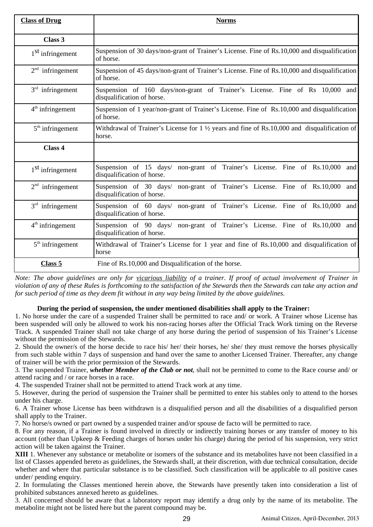| <b>Class of Drug</b>         | <b>Norms</b>                                                                                                      |
|------------------------------|-------------------------------------------------------------------------------------------------------------------|
| Class 3                      |                                                                                                                   |
| 1 <sup>St</sup> infringement | Suspension of 30 days/non-grant of Trainer's License. Fine of Rs.10,000 and disqualification<br>of horse.         |
| $2nd$ infringement           | Suspension of 45 days/non-grant of Trainer's License. Fine of Rs.10,000 and disqualification<br>of horse.         |
| $3rd$ infringement           | Suspension of 160 days/non-grant of Trainer's License. Fine of Rs 10,000 and<br>disqualification of horse.        |
| $4th$ infringement           | Suspension of 1 year/non-grant of Trainer's License. Fine of Rs.10,000 and disqualification<br>of horse.          |
| $5th$ infringement           | Withdrawal of Trainer's License for $1 \frac{1}{2}$ years and fine of Rs.10,000 and disqualification of<br>horse. |
| Class 4                      |                                                                                                                   |
| 1 <sup>St</sup> infringement | Suspension of 15 days/ non-grant of Trainer's License. Fine of Rs.10,000<br>and<br>disqualification of horse.     |
| $2nd$ infringement           | Suspension of 30 days/ non-grant of Trainer's License. Fine of Rs.10,000<br>and<br>disqualification of horse.     |
| $3rd$ infringement           | Suspension of 60 days/ non-grant of Trainer's License. Fine of Rs.10,000<br>and<br>disqualification of horse.     |
| $4th$ infringement           | Suspension of 90 days/ non-grant of Trainer's License. Fine of Rs.10,000<br>and<br>disqualification of horse.     |
| $5th$ infringement           | Withdrawal of Trainer's License for 1 year and fine of Rs.10,000 and disqualification of<br>horse                 |
| Class 5                      | Fine of Rs.10,000 and Disqualification of the horse.                                                              |

*Note: The above guidelines are only for vicarious liability of a trainer. If proof of actual involvement of Trainer in violation of any of these Rules is forthcoming to the satisfaction of the Stewards then the Stewards can take any action and for such period of time as they deem fit without in any way being limited by the above guidelines.*

# **During the period of suspension, the under mentioned disabilities shall apply to the Trainer:**

1. No horse under the care of a suspended Trainer shall be permitted to race and/ or work. A Trainer whose License has been suspended will only be allowed to work his non-racing horses after the Official Track Work timing on the Reverse Track. A suspended Trainer shall not take charge of any horse during the period of suspension of his Trainer's License without the permission of the Stewards.

2. Should the owner/s of the horse decide to race his/ her/ their horses, he/ she/ they must remove the horses physically from such stable within 7 days of suspension and hand over the same to another Licensed Trainer. Thereafter, any change of trainer will be with the prior permission of the Stewards.

3. The suspended Trainer, *whether Member of the Club or not*, shall not be permitted to come to the Race course and/ or attend racing and / or race horses in a race.

4. The suspended Trainer shall not be permitted to attend Track work at any time.

5. However, during the period of suspension the Trainer shall be permitted to enter his stables only to attend to the horses under his charge.

6. A Trainer whose License has been withdrawn is a disqualified person and all the disabilities of a disqualified person shall apply to the Trainer.

7. No horse/s owned or part owned by a suspended trainer and/or spouse de facto will be permitted to race.

8. For any reason, if a Trainer is found involved in directly or indirectly training horses or any transfer of money to his account (other than Upkeep & Feeding charges of horses under his charge) during the period of his suspension, very strict action will be taken against the Trainer.

**XIII** 1. Whenever any substance or metabolite or isomers of the substance and its metabolites have not been classified in a list of Classes appended hereto as guidelines, the Stewards shall, at their discretion, with due technical consultation, decide whether and where that particular substance is to be classified. Such classification will be applicable to all positive cases under/ pending enquiry.

2. In formulating the Classes mentioned herein above, the Stewards have presently taken into consideration a list of prohibited substances annexed hereto as guidelines.

3. All concerned should be aware that a laboratory report may identify a drug only by the name of its metabolite. The metabolite might not be listed here but the parent compound may be.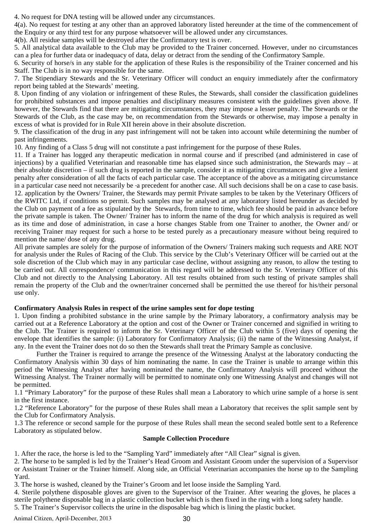4. No request for DNA testing will be allowed under any circumstances.

4(a). No request for testing at any other than an approved laboratory listed hereunder at the time of the commencement of the Enquiry or any third test for any purpose whatsoever will be allowed under any circumstances.

4(b). All residue samples will be destroyed after the Confirmatory test is over.

5. All analytical data available to the Club may be provided to the Trainer concerned. However, under no circumstances can a plea for further data or inadequacy of data, delay or detract from the sending of the Confirmatory Sample.

6. Security of horse/s in any stable for the application of these Rules is the responsibility of the Trainer concerned and his Staff. The Club is in no way responsible for the same.

7. The Stipendiary Stewards and the Sr. Veterinary Officer will conduct an enquiry immediately after the confirmatory report being tabled at the Stewards' meeting.

8. Upon finding of any violation or infringement of these Rules, the Stewards, shall consider the classification guidelines for prohibited substances and impose penalties and disciplinary measures consistent with the guidelines given above. If however, the Stewards find that there are mitigating circumstances, they may impose a lesser penalty. The Stewards or the Stewards of the Club, as the case may be, on recommendation from the Stewards or otherwise, may impose a penalty in excess of what is provided for in Rule XII herein above in their absolute discretion.

9. The classification of the drug in any past infringement will not be taken into account while determining the number of past infringements.

10. Any finding of a Class 5 drug will not constitute a past infringement for the purpose of these Rules.

11. If a Trainer has logged any therapeutic medication in normal course and if prescribed (and administered in case of injections) by a qualified Veterinarian and reasonable time has elapsed since such administration, the Stewards may – at their absolute discretion – if such drug is reported in the sample, consider it as mitigating circumstances and give a lenient penalty after consideration of all the facts of each particular case. The acceptance of the above as a mitigating circumstance in a particular case need not necessarily be -a precedent for another case. All such decisions shall be on a case to case basis. 12. application by the Owners/ Trainer, the Stewards may permit Private samples to be taken by the Veterinary Officers of the RWITC Ltd, if conditions so permit. Such samples may be analysed at any laboratory listed hereunder as decided by the Club on payment of a fee as stipulated by the Stewards, from time to time, which fee should be paid in advance before the private sample is taken. The Owner/ Trainer has to inform the name of the drug for which analysis is required as well as its time and dose of administration, in case a horse changes Stable from one Trainer to another, the Owner and/ or receiving Trainer may request for such a horse to be tested purely as a precautionary measure without being required to mention the name/ dose of any drug.

All private samples are solely for the purpose of information of the Owners/ Trainers making such requests and ARE NOT for analysis under the Rules of Racing of the Club. This service by the Club's Veterinary Officer will be carried out at the sole discretion of the Club which may in any particular case decline, without assigning any reason, to allow the testing to be carried out. All correspondence/ communication in this regard will be addressed to the Sr. Veterinary Officer of this Club and not directly to the Analysing Laboratory. All test results obtained from such testing of private samples shall remain the property of the Club and the owner/trainer concerned shall be permitted the use thereof for his/their personal use only.

## **Confirmatory Analysis Rules in respect of the urine samples sent for dope testing**

1. Upon finding a prohibited substance in the urine sample by the Primary laboratory, a confirmatory analysis may be carried out at a Reference Laboratory at the option and cost of the Owner or Trainer concerned and signified in writing to the Club. The Trainer is required to inform the Sr. Veterinary Officer of the Club within 5 (five) days of opening the envelope that identifies the sample: (i) Laboratory for Confirmatory Analysis; (ii) the name of the Witnessing Analyst, if any. In the event the Trainer does not do so then the Stewards shall treat the Primary Sample as conclusive.

Further the Trainer is required to arrange the presence of the Witnessing Analyst at the laboratory conducting the Confirmatory Analysis within 30 days of him nominating the name. In case the Trainer is unable to arrange within this period the Witnessing Analyst after having nominated the name, the Confirmatory Analysis will proceed without the Witnessing Analyst. The Trainer normally will be permitted to nominate only one Witnessing Analyst and changes will not be permitted.

1.1 "Primary Laboratory" for the purpose of these Rules shall mean a Laboratory to which urine sample of a horse is sent in the first instance.

1.2 "Reference Laboratory" for the purpose of these Rules shall mean a Laboratory that receives the split sample sent by the Club for Confirmatory Analysis.

1.3 The reference or second sample for the purpose of these Rules shall mean the second sealed bottle sent to a Reference Laboratory as stipulated below.

#### **Sample Collection Procedure**

1. After the race, the horse is led to the "Sampling Yard" immediately after "All Clear" signal is given.

2. The horse to be sampled is led by the Trainer's Head Groom and Assistant Groom under the supervision of a Supervisor or Assistant Trainer or the Trainer himself. Along side, an Official Veterinarian accompanies the horse up to the Sampling Yard.

3. The horse is washed, cleaned by the Trainer's Groom and let loose inside the Sampling Yard.

4. Sterile polythene disposable gloves are given to the Supervisor of the Trainer. After wearing the gloves, he places a sterile polythene disposable bag in a plastic collection bucket which is then fixed in the ring with a long safety handle. 5. The Trainer's Supervisor collects the urine in the disposable bag which is lining the plastic bucket.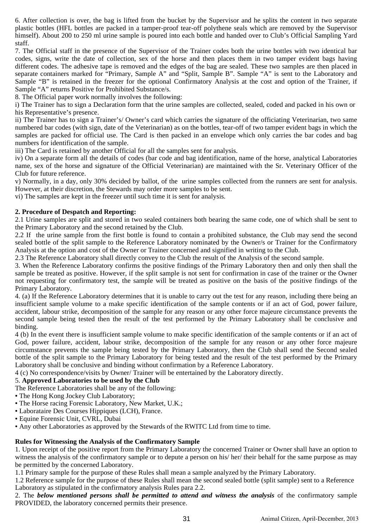6. After collection is over, the bag is lifted from the bucket by the Supervisor and he splits the content in two separate plastic bottles (HFL bottles are packed in a tamper-proof tear-off polythene seals which are removed by the Supervisor himself). About 200 to 250 ml urine sample is poured into each bottle and handed over to Club's Official Sampling Yard staff.

7. The Official staff in the presence of the Supervisor of the Trainer codes both the urine bottles with two identical bar codes, signs, write the date of collection, sex of the horse and then places them in two tamper evident bags having different codes. The adhesive tape is removed and the edges of the bag are sealed. These two samples are then placed in separate containers marked for "Primary, Sample A" and "Split, Sample B". Sample "A" is sent to the Laboratory and Sample "B" is retained in the freezer for the optional Confirmatory Analysis at the cost and option of the Trainer, if Sample "A" returns Positive for Prohibited Substance/s.

8. The Official paper work normally involves the following:

i) The Trainer has to sign a Declaration form that the urine samples are collected, sealed, coded and packed in his own or his Representative's presence.

ii) The Trainer has to sign a Trainer's/ Owner's card which carries the signature of the officiating Veterinarian, two same numbered bar codes (with sign, date of the Veterinarian) as on the bottles, tear-off of two tamper evident bags in which the samples are packed for official use. The Card is then packed in an envelope which only carries the bar codes and bag numbers for identification of the sample.

iii) The Card is retained by another Official for all the samples sent for analysis.

iv) On a separate form all the details of codes (bar code and bag identification, name of the horse, analytical Laboratories name, sex of the horse and signature of the Official Veterinarian) are maintained with the Sr. Veterinary Officer of the Club for future reference.

v) Normally, in a day, only 30% decided by ballot, of the urine samples collected from the runners are sent for analysis. However, at their discretion, the Stewards may order more samples to be sent.

vi) The samples are kept in the freezer until such time it is sent for analysis.

## **2. Procedure of Despatch and Reporting:**

2.1 Urine samples are split and stored in two sealed containers both bearing the same code, one of which shall be sent to the Primary Laboratory and the second retained by the Club.

2.2 If the urine sample from the first bottle is found to contain a prohibited substance, the Club may send the second sealed bottle of the split sample to the Reference Laboratory nominated by the Owner/s or Trainer for the Confirmatory Analysis at the option and cost of the Owner or Trainer concerned and signified in writing to the Club.

2.3 The Reference Laboratory shall directly convey to the Club the result of the Analysis of the second sample.

3. When the Reference Laboratory confirms the positive findings of the Primary Laboratory then and only then shall the sample be treated as positive. However, if the split sample is not sent for confirmation in case of the trainer or the Owner not requesting for confirmatory test, the sample will be treated as positive on the basis of the positive findings of the Primary Laboratory.

4. (a) If the Reference Laboratory determines that it is unable to carry out the test for any reason, including there being an insufficient sample volume to a make specific identification of the sample contents or if an act of God, power failure, accident, labour strike, decomposition of the sample for any reason or any other force majeure circumstance prevents the second sample being tested then the result of the test performed by the Primary Laboratory shall be conclusive and binding.

4 (b) In the event there is insufficient sample volume to make specific identification of the sample contents or if an act of God, power failure, accident, labour strike, decomposition of the sample for any reason or any other force majeure circumstance prevents the sample being tested by the Primary Laboratory, then the Club shall send the Second sealed bottle of the split sample to the Primary Laboratory for being tested and the result of the test performed by the Primary Laboratory shall be conclusive and binding without confirmation by a Reference Laboratory.

4 (c) No correspondence/visits by Owner/ Trainer will be entertained by the Laboratory directly.

# 5. **Approved Laboratories to be used by the Club**

The Reference Laboratories shall be any of the following:

- The Hong Kong Jockey Club Laboratory;
- The Horse racing Forensic Laboratory, New Market, U.K.;
- Laborataire Des Courses Hippiques (LCH), France.
- Equine Forensic Unit, CVRL, Dubai
- Any other Laboratories as approved by the Stewards of the RWITC Ltd from time to time.

## **Rules for Witnessing the Analysis of the Confirmatory Sample**

1. Upon receipt of the positive report from the Primary Laboratory the concerned Trainer or Owner shall have an option to witness the analysis of the confirmatory sample or to depute a person on his/ her/ their behalf for the same purpose as may be permitted by the concerned Laboratory.

1.1 Primary sample for the purpose of these Rules shall mean a sample analyzed by the Primary Laboratory.

1.2 Reference sample for the purpose of these Rules shall mean the second sealed bottle (split sample) sent to a Reference Laboratory as stipulated in the confirmatory analysis Rules para 2.2.

2. The *below mentioned persons shall be permitted to attend and witness the analysis* of the confirmatory sample PROVIDED, the laboratory concerned permits their presence.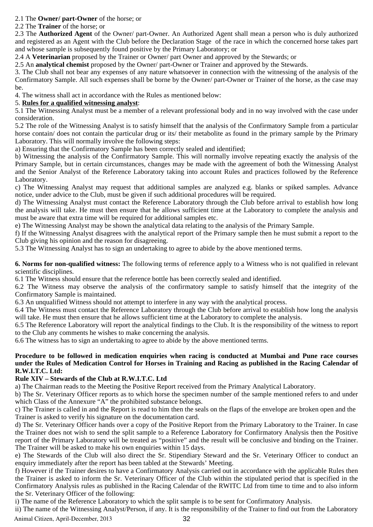## 2.1 The **Owner/ part-Owner** of the horse; or

2.2 The **Trainer** of the horse; or

2.3 The **Authorized Agent** of the Owner/ part-Owner. An Authorized Agent shall mean a person who is duly authorized and registered as an Agent with the Club before the Declaration Stage of the race in which the concerned horse takes part and whose sample is subsequently found positive by the Primary Laboratory; or

2.4 A **Veterinarian** proposed by the Trainer or Owner/ part Owner and approved by the Stewards; or

2.5 An **analytical chemist** proposed by the Owner/ part-Owner or Trainer and approved by the Stewards.

3. The Club shall not bear any expenses of any nature whatsoever in connection with the witnessing of the analysis of the Confirmatory Sample. All such expenses shall be borne by the Owner/ part-Owner or Trainer of the horse, as the case may be.

4. The witness shall act in accordance with the Rules as mentioned below:

## 5. **Rules for a qualified witnessing analyst**:

5.1 The Witnessing Analyst must be a member of a relevant professional body and in no way involved with the case under consideration.

5.2 The role of the Witnessing Analyst is to satisfy himself that the analysis of the Confirmatory Sample from a particular horse contain/ does not contain the particular drug or its/ their metabolite as found in the primary sample by the Primary Laboratory. This will normally involve the following steps:

a) Ensuring that the Confirmatory Sample has been correctly sealed and identified;

b) Witnessing the analysis of the Confirmatory Sample. This will normally involve repeating exactly the analysis of the Primary Sample, but in certain circumstances, changes may be made with the agreement of both the Witnessing Analyst and the Senior Analyst of the Reference Laboratory taking into account Rules and practices followed by the Reference Laboratory.

c) The Witnessing Analyst may request that additional samples are analyzed e.g. blanks or spiked samples. Advance notice, under advice to the Club, must be given if such additional procedures will be required.

d) The Witnessing Analyst must contact the Reference Laboratory through the Club before arrival to establish how long the analysis will take. He must then ensure that he allows sufficient time at the Laboratory to complete the analysis and must be aware that extra time will be required for additional samples etc.

e) The Witnessing Analyst may be shown the analytical data relating to the analysis of the Primary Sample.

f) If the Witnessing Analyst disagrees with the analytical report of the Primary sample then he must submit a report to the Club giving his opinion and the reason for disagreeing.

5.3 The Witnessing Analyst has to sign an undertaking to agree to abide by the above mentioned terms.

**6. Norms for non-qualified witness:** The following terms of reference apply to a Witness who is not qualified in relevant scientific disciplines.

6.1 The Witness should ensure that the reference bottle has been correctly sealed and identified.

6.2 The Witness may observe the analysis of the confirmatory sample to satisfy himself that the integrity of the Confirmatory Sample is maintained.

6.3 An unqualified Witness should not attempt to interfere in any way with the analytical process.

6.4 The Witness must contact the Reference Laboratory through the Club before arrival to establish how long the analysis will take. He must then ensure that he allows sufficient time at the Laboratory to complete the analysis.

6.5 The Reference Laboratory will report the analytical findings to the Club. It is the responsibility of the witness to report to the Club any comments he wishes to make concerning the analysis.

6.6 The witness has to sign an undertaking to agree to abide by the above mentioned terms.

## **Procedure to be followed in medication enquiries when racing is conducted at Mumbai and Pune race courses under the Rules of Medication Control for Horses in Training and Racing as published in the Racing Calendar of R.W.I.T.C. Ltd:**

## **Rule XIV – Stewards of the Club at R.W.I.T.C. Ltd**

a) The Chairman reads to the Meeting the Positive Report received from the Primary Analytical Laboratory.

b) The Sr. Veterinary Officer reports as to which horse the specimen number of the sample mentioned refers to and under which Class of the Annexure "A" the prohibited substance belongs.

c) The Trainer is called in and the Report is read to him then the seals on the flaps of the envelope are broken open and the Trainer is asked to verify his signature on the documentation card.

d) The Sr. Veterinary Officer hands over a copy of the Positive Report from the Primary Laboratory to the Trainer. In case the Trainer does not wish to send the split sample to a Reference Laboratory for Confirmatory Analysis then the Positive report of the Primary Laboratory will be treated as "positive" and the result will be conclusive and binding on the Trainer. The Trainer will be asked to make his own enquiries within 15 days.

e) The Stewards of the Club will also direct the Sr. Stipendiary Steward and the Sr. Veterinary Officer to conduct an enquiry immediately after the report has been tabled at the Stewards' Meeting.

f) However if the Trainer desires to have a Confirmatory Analysis carried out in accordance with the applicable Rules then the Trainer is asked to inform the Sr. Veterinary Officer of the Club within the stipulated period that is specified in the Confirmatory Analysis rules as published in the Racing Calendar of the RWITC Ltd from time to time and to also inform the Sr. Veterinary Officer of the following:

i) The name of the Reference Laboratory to which the split sample is to be sent for Confirmatory Analysis.

ii) The name of the Witnessing Analyst/Person, if any. It is the responsibility of the Trainer to find out from the Laboratory

Animal Citizen, April-December, 2013 32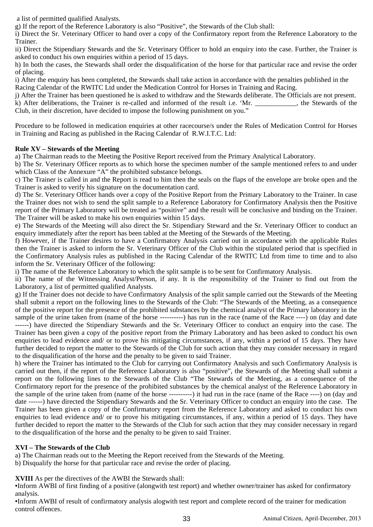a list of permitted qualified Analysts.

g) If the report of the Reference Laboratory is also "Positive", the Stewards of the Club shall:

i) Direct the Sr. Veterinary Officer to hand over a copy of the Confirmatory report from the Reference Laboratory to the Trainer.

ii) Direct the Stipendiary Stewards and the Sr. Veterinary Officer to hold an enquiry into the case. Further, the Trainer is asked to conduct his own enquiries within a period of 15 days.

h) In both the cases, the Stewards shall order the disqualification of the horse for that particular race and revise the order of placing.

i) After the enquiry has been completed, the Stewards shall take action in accordance with the penalties published in the Racing Calendar of the RWITC Ltd under the Medication Control for Horses in Training and Racing.

j) After the Trainer has been questioned he is asked to withdraw and the Stewards deliberate. The Officials are not present. k) After deliberations, the Trainer is re-called and informed of the result i.e. 'Mr. \_\_\_\_\_\_\_\_\_\_\_\_, the Stewards of the Club, in their discretion, have decided to impose the following punishment on you."

Procedure to be followed in medication enquiries at other racecourse/s under the Rules of Medication Control for Horses in Training and Racing as published in the Racing Calendar of R.W.I.T.C. Ltd:

# **Rule XV – Stewards of the Meeting**

a) The Chairman reads to the Meeting the Positive Report received from the Primary Analytical Laboratory.

b) The Sr. Veterinary Officer reports as to which horse the specimen number of the sample mentioned refers to and under which Class of the Annexure "A" the prohibited substance belongs.

c) The Trainer is called in and the Report is read to him then the seals on the flaps of the envelope are broke open and the Trainer is asked to verify his signature on the documentation card.

d) The Sr. Veterinary Officer hands over a copy of the Positive Report from the Primary Laboratory to the Trainer. In case the Trainer does not wish to send the split sample to a Reference Laboratory for Confirmatory Analysis then the Positive report of the Primary Laboratory will be treated as "positive" and the result will be conclusive and binding on the Trainer. The Trainer will be asked to make his own enquiries within 15 days.

e) The Stewards of the Meeting will also direct the Sr. Stipendiary Steward and the Sr. Veterinary Officer to conduct an enquiry immediately after the report has been tabled at the Meeting of the Stewards of the Meeting.

f) However, if the Trainer desires to have a Confirmatory Analysis carried out in accordance with the applicable Rules then the Trainer is asked to inform the Sr. Veterinary Officer of the Club within the stipulated period that is specified in the Confirmatory Analysis rules as published in the Racing Calendar of the RWITC Ltd from time to time and to also inform the Sr. Veterinary Officer of the following:

i) The name of the Reference Laboratory to which the split sample is to be sent for Confirmatory Analysis.

ii) The name of the Witnessing Analyst/Person, if any. It is the responsibility of the Trainer to find out from the Laboratory, a list of permitted qualified Analysts.

g) If the Trainer does not decide to have Confirmatory Analysis of the split sample carried out the Stewards of the Meeting shall submit a report on the following lines to the Stewards of the Club: "The Stewards of the Meeting, as a consequence of the positive report for the presence of the prohibited substances by the chemical analyst of the Primary laboratory in the sample of the urine taken from (name of the horse ----------) has run in the race (name of the Race ----) on (day and date ------) have directed the Stipendiary Stewards and the Sr. Veterinary Officer to conduct an enquiry into the case. The Trainer has been given a copy of the positive report from the Primary Laboratory and has been asked to conduct his own enquiries to lead evidence and/ or to prove his mitigating circumstances, if any, within a period of 15 days. They have further decided to report the matter to the Stewards of the Club for such action that they may consider necessary in regard to the disqualification of the horse and the penalty to be given to said Trainer.

h) where the Trainer has intimated to the Club for carrying out Confirmatory Analysis and such Confirmatory Analysis is carried out then, if the report of the Reference Laboratory is also "positive", the Stewards of the Meeting shall submit a report on the following lines to the Stewards of the Club "The Stewards of the Meeting, as a consequence of the Confirmatory report for the presence of the prohibited substances by the chemical analyst of the Reference Laboratory in the sample of the urine taken from (name of the horse ----------) it had run in the race (name of the Race ----) on (day and date ------) have directed the Stipendiary Stewards and the Sr. Veterinary Officer to conduct an enquiry into the case. The Trainer has been given a copy of the Confirmatory report from the Reference Laboratory and asked to conduct his own enquiries to lead evidence and/ or to prove his mitigating circumstances, if any, within a period of 15 days. They have further decided to report the matter to the Stewards of the Club for such action that they may consider necessary in regard to the disqualification of the horse and the penalty to be given to said Trainer.

# **XVI – The Stewards of the Club**

a) The Chairman reads out to the Meeting the Report received from the Stewards of the Meeting.

b) Disqualify the horse for that particular race and revise the order of placing.

**XVIII** As per the directives of the AWBI the Stewards shall:

●Inform AWBI of first finding of a positive (alongwith test report) and whether owner/trainer has asked for confirmatory analysis.

●Inform AWBI of result of confirmatory analysis alogwith test report and complete record of the trainer for medication control offences.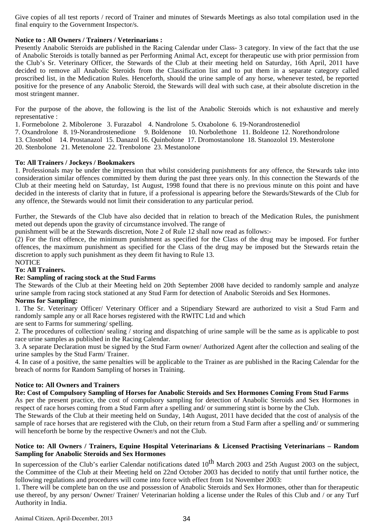Give copies of all test reports / record of Trainer and minutes of Stewards Meetings as also total compilation used in the final enquiry to the Government Inspector/s.

## **Notice to : All Owners / Trainers / Veterinarians :**

Presently Anabolic Steroids are published in the Racing Calendar under Class- 3 category. In view of the fact that the use of Anabolic Steroids is totally banned as per Performing Animal Act, except for therapeutic use with prior permission from the Club's Sr. Veterinary Officer, the Stewards of the Club at their meeting held on Saturday, 16th April, 2011 have decided to remove all Anabolic Steroids from the Classification list and to put them in a separate category called proscribed list, in the Medication Rules. Henceforth, should the urine sample of any horse, whenever tested, be reported positive for the presence of any Anabolic Steroid, the Stewards will deal with such case, at their absolute discretion in the most stringent manner.

For the purpose of the above, the following is the list of the Anabolic Steroids which is not exhaustive and merely representative :

1. Formebolone 2. Mibolerone 3. Furazabol 4. Nandrolone 5. Oxabolone 6. 19-Norandrostenediol 7. Oxandrolone 8. 19-Norandrostenedione 9. Boldenone 10. Norbolethone 11. Boldeone 12. Norethondrolone 13. Clostebol 14. Prostanazol 15. Danazol 16. Quinbolone 17. Dromostanolone 18. Stanozolol 19. Mesterolone 20. Stenbolone 21. Metenolone 22. Trenbolone 23. Mestanolone

## **To: All Trainers / Jockeys / Bookmakers**

1. Professionals may be under the impression that whilst considering punishments for any offence, the Stewards take into consideration similar offences committed by them during the past three years only. In this connection the Stewards of the Club at their meeting held on Saturday, 1st August, 1998 found that there is no previous minute on this point and have decided in the interests of clarity that in future, if a professional is appearing before the Stewards/Stewards of the Club for any offence, the Stewards would not limit their consideration to any particular period.

Further, the Stewards of the Club have also decided that in relation to breach of the Medication Rules, the punishment meted out depends upon the gravity of circumstance involved. The range of

punishment will be at the Stewards discretion, Note 2 of Rule 12 shall now read as follows:-

(2) For the first offence, the minimum punishment as specified for the Class of the drug may be imposed. For further offences, the maximum punishment as specified for the Class of the drug may be imposed but the Stewards retain the discretion to apply such punishment as they deem fit having to Rule 13.

#### NOTICE

## **To: All Trainers.**

## **Re: Sampling of racing stock at the Stud Farms**

The Stewards of the Club at their Meeting held on 20th September 2008 have decided to randomly sample and analyze urine sample from racing stock stationed at any Stud Farm for detection of Anabolic Steroids and Sex Hormones.

#### **Norms for Sampling:**

1. The Sr. Veterinary Officer/ Veterinary Officer and a Stipendiary Steward are authorized to visit a Stud Farm and randomly sample any or all Race horses registered with the RWITC Ltd and which

are sent to Farms for summering/ spelling.

2. The procedures of collection/ sealing / storing and dispatching of urine sample will be the same as is applicable to post race urine samples as published in the Racing Calendar.

3. A separate Declaration must be signed by the Stud Farm owner/ Authorized Agent after the collection and sealing of the urine samples by the Stud Farm/ Trainer.

4. In case of a positive, the same penalties will be applicable to the Trainer as are published in the Racing Calendar for the breach of norms for Random Sampling of horses in Training.

## **Notice to: All Owners and Trainers**

## **Re: Cost of Compulsory Sampling of Horses for Anabolic Steroids and Sex Hormones Coming From Stud Farms**

As per the present practice, the cost of compulsory sampling for detection of Anabolic Steroids and Sex Hormones in respect of race horses coming from a Stud Farm after a spelling and/ or summering stint is borne by the Club.

The Stewards of the Club at their meeting held on Sunday, 14th August, 2011 have decided that the cost of analysis of the sample of race horses that are registered with the Club, on their return from a Stud Farm after a spelling and/ or summering will henceforth be borne by the respective Owner/s and not the Club.

#### **Notice to: All Owners / Trainers, Equine Hospital Veterinarians & Licensed Practising Veterinarians – Random Sampling for Anabolic Steroids and Sex Hormones**

In supercession of the Club's earlier Calendar notifications dated  $10^{th}$  March 2003 and 25th August 2003 on the subject, the Committee of the Club at their Meeting held on 22nd October 2003 has decided to notify that until further notice, the following regulations and procedures will come into force with effect from 1st November 2003:

1. There will be complete ban on the use and possession of Anabolic Steroids and Sex Hormones, other than for therapeutic use thereof, by any person/ Owner/ Trainer/ Veterinarian holding a license under the Rules of this Club and / or any Turf Authority in India.